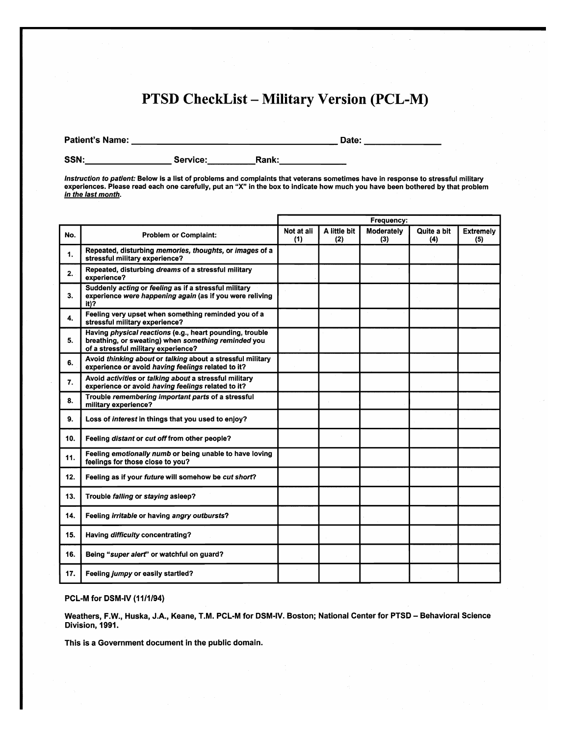## PTSD CheckList - Military Version (PCL-M)

Patient's Name: Date: \_

SSN: Service: Rank: \_

*Instruction to patient:* Below is a list of problems and complaints that veterans sometimes have in response to stressful military experiences. Please read each one carefully, put an "X" in the box to indicate how much you have been bothered by that problem *in the last month.* 

|     |                                                                                                                                                        | Frequency:        |                     |                   |                    |                         |
|-----|--------------------------------------------------------------------------------------------------------------------------------------------------------|-------------------|---------------------|-------------------|--------------------|-------------------------|
| No. | <b>Problem or Complaint:</b>                                                                                                                           | Not at all<br>(1) | A little bit<br>(2) | Moderately<br>(3) | Quite a bit<br>(4) | <b>Extremely</b><br>(5) |
| 1.  | Repeated, disturbing memories, thoughts, or images of a<br>stressful military experience?                                                              |                   |                     |                   |                    |                         |
| 2.  | Repeated, disturbing dreams of a stressful military<br>experience?                                                                                     |                   |                     |                   |                    |                         |
| 3.  | Suddenly acting or feeling as if a stressful military<br>experience were happening again (as if you were reliving<br>it)?                              |                   |                     |                   |                    |                         |
| 4.  | Feeling very upset when something reminded you of a<br>stressful military experience?                                                                  |                   |                     |                   |                    |                         |
| 5.  | Having physical reactions (e.g., heart pounding, trouble<br>breathing, or sweating) when something reminded you<br>of a stressful military experience? |                   |                     |                   |                    |                         |
| 6.  | Avoid thinking about or talking about a stressful military<br>experience or avoid having feelings related to it?                                       |                   |                     |                   |                    |                         |
| 7.  | Avoid activities or talking about a stressful military<br>experience or avoid having feelings related to it?                                           |                   |                     |                   |                    |                         |
| 8.  | Trouble remembering important parts of a stressful<br>military experience?                                                                             |                   |                     |                   |                    |                         |
| 9.  | Loss of interest in things that you used to enjoy?                                                                                                     |                   |                     |                   |                    |                         |
| 10. | Feeling distant or cut off from other people?                                                                                                          |                   |                     |                   |                    |                         |
| 11. | Feeling emotionally numb or being unable to have loving<br>feelings for those close to you?                                                            |                   |                     |                   |                    |                         |
| 12. | Feeling as if your future will somehow be cut short?                                                                                                   |                   |                     |                   |                    |                         |
| 13. | Trouble falling or staying asleep?                                                                                                                     |                   |                     |                   |                    |                         |
| 14. | Feeling irritable or having angry outbursts?                                                                                                           |                   |                     |                   |                    |                         |
| 15. | Having difficulty concentrating?                                                                                                                       |                   |                     |                   |                    |                         |
| 16. | Being "super alert" or watchful on guard?                                                                                                              |                   |                     |                   |                    |                         |
| 17. | Feeling jumpy or easily startled?                                                                                                                      |                   |                     |                   |                    |                         |

## PCL-M for DSM-IV (11/1/94)

Weathers, F.W., Huska, J.A., Keane, T.M. PCL·M for DSM·IV. Boston; National Center for PTSD - Behavioral Science Division, 1991.

This is a Government document in the public domain.